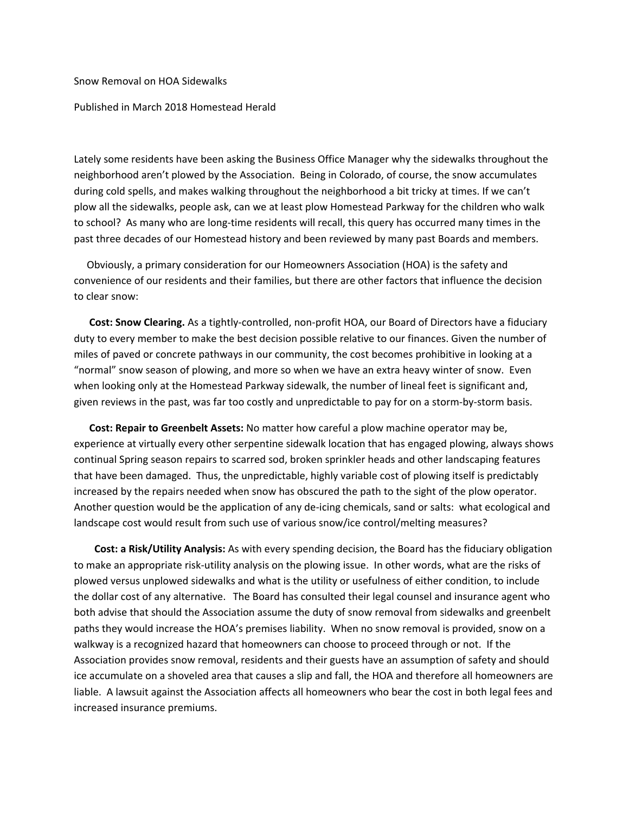Snow Removal on HOA Sidewalks

## Published in March 2018 Homestead Herald

Lately some residents have been asking the Business Office Manager why the sidewalks throughout the neighborhood aren't plowed by the Association. Being in Colorado, of course, the snow accumulates during cold spells, and makes walking throughout the neighborhood a bit tricky at times. If we can't plow all the sidewalks, people ask, can we at least plow Homestead Parkway for the children who walk to school? As many who are long‐time residents will recall, this query has occurred many times in the past three decades of our Homestead history and been reviewed by many past Boards and members.

 Obviously, a primary consideration for our Homeowners Association (HOA) is the safety and convenience of our residents and their families, but there are other factors that influence the decision to clear snow:

 **Cost: Snow Clearing.** As a tightly‐controlled, non‐profit HOA, our Board of Directors have a fiduciary duty to every member to make the best decision possible relative to our finances. Given the number of miles of paved or concrete pathways in our community, the cost becomes prohibitive in looking at a "normal" snow season of plowing, and more so when we have an extra heavy winter of snow. Even when looking only at the Homestead Parkway sidewalk, the number of lineal feet is significant and, given reviews in the past, was far too costly and unpredictable to pay for on a storm-by-storm basis.

 **Cost: Repair to Greenbelt Assets:** No matter how careful a plow machine operator may be, experience at virtually every other serpentine sidewalk location that has engaged plowing, always shows continual Spring season repairs to scarred sod, broken sprinkler heads and other landscaping features that have been damaged. Thus, the unpredictable, highly variable cost of plowing itself is predictably increased by the repairs needed when snow has obscured the path to the sight of the plow operator. Another question would be the application of any de‐icing chemicals, sand or salts: what ecological and landscape cost would result from such use of various snow/ice control/melting measures?

 **Cost: a Risk/Utility Analysis:** As with every spending decision, the Board has the fiduciary obligation to make an appropriate risk‐utility analysis on the plowing issue. In other words, what are the risks of plowed versus unplowed sidewalks and what is the utility or usefulness of either condition, to include the dollar cost of any alternative. The Board has consulted their legal counsel and insurance agent who both advise that should the Association assume the duty of snow removal from sidewalks and greenbelt paths they would increase the HOA's premises liability. When no snow removal is provided, snow on a walkway is a recognized hazard that homeowners can choose to proceed through or not. If the Association provides snow removal, residents and their guests have an assumption of safety and should ice accumulate on a shoveled area that causes a slip and fall, the HOA and therefore all homeowners are liable. A lawsuit against the Association affects all homeowners who bear the cost in both legal fees and increased insurance premiums.